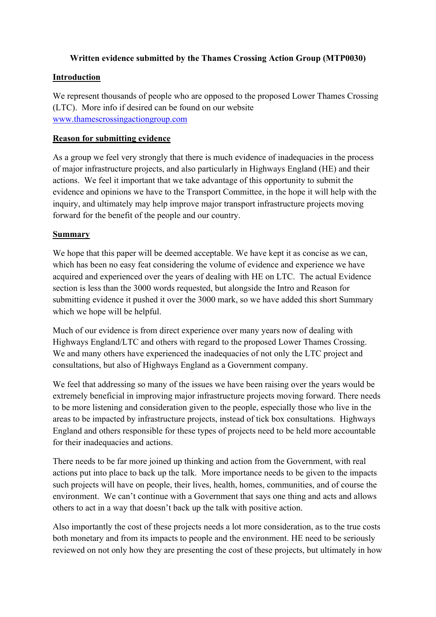# **Written evidence submitted by the Thames Crossing Action Group (MTP0030)**

### **Introduction**

We represent thousands of people who are opposed to the proposed Lower Thames Crossing (LTC). More info if desired can be found on our website [www.thamescrossingactiongroup.com](http://www.thamescrossingactiongroup.com/)

#### **Reason for submitting evidence**

As a group we feel very strongly that there is much evidence of inadequacies in the process of major infrastructure projects, and also particularly in Highways England (HE) and their actions. We feel it important that we take advantage of this opportunity to submit the evidence and opinions we have to the Transport Committee, in the hope it will help with the inquiry, and ultimately may help improve major transport infrastructure projects moving forward for the benefit of the people and our country.

#### **Summary**

We hope that this paper will be deemed acceptable. We have kept it as concise as we can, which has been no easy feat considering the volume of evidence and experience we have acquired and experienced over the years of dealing with HE on LTC. The actual Evidence section is less than the 3000 words requested, but alongside the Intro and Reason for submitting evidence it pushed it over the 3000 mark, so we have added this short Summary which we hope will be helpful.

Much of our evidence is from direct experience over many years now of dealing with Highways England/LTC and others with regard to the proposed Lower Thames Crossing. We and many others have experienced the inadequacies of not only the LTC project and consultations, but also of Highways England as a Government company.

We feel that addressing so many of the issues we have been raising over the years would be extremely beneficial in improving major infrastructure projects moving forward. There needs to be more listening and consideration given to the people, especially those who live in the areas to be impacted by infrastructure projects, instead of tick box consultations. Highways England and others responsible for these types of projects need to be held more accountable for their inadequacies and actions.

There needs to be far more joined up thinking and action from the Government, with real actions put into place to back up the talk. More importance needs to be given to the impacts such projects will have on people, their lives, health, homes, communities, and of course the environment. We can't continue with a Government that says one thing and acts and allows others to act in a way that doesn't back up the talk with positive action.

Also importantly the cost of these projects needs a lot more consideration, as to the true costs both monetary and from its impacts to people and the environment. HE need to be seriously reviewed on not only how they are presenting the cost of these projects, but ultimately in how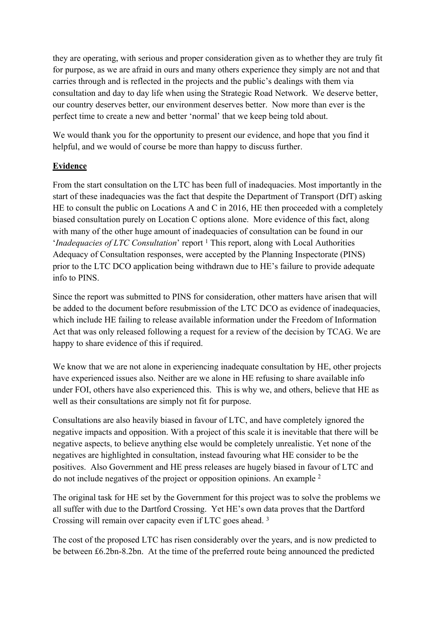they are operating, with serious and proper consideration given as to whether they are truly fit for purpose, as we are afraid in ours and many others experience they simply are not and that carries through and is reflected in the projects and the public's dealings with them via consultation and day to day life when using the Strategic Road Network. We deserve better, our country deserves better, our environment deserves better. Now more than ever is the perfect time to create a new and better 'normal' that we keep being told about.

We would thank you for the opportunity to present our evidence, and hope that you find it helpful, and we would of course be more than happy to discuss further.

# **Evidence**

From the start consultation on the LTC has been full of inadequacies. Most importantly in the start of these inadequacies was the fact that despite the Department of Transport (DfT) asking HE to consult the public on Locations A and C in 2016, HE then proceeded with a completely biased consultation purely on Location C options alone. More evidence of this fact, along with many of the other huge amount of inadequacies of consultation can be found in our *'Inadequacies of LTC Consultation'* report <sup>1</sup> This report, along with Local Authorities Adequacy of Consultation responses, were accepted by the Planning Inspectorate (PINS) prior to the LTC DCO application being withdrawn due to HE's failure to provide adequate info to PINS.

Since the report was submitted to PINS for consideration, other matters have arisen that will be added to the document before resubmission of the LTC DCO as evidence of inadequacies, which include HE failing to release available information under the Freedom of Information Act that was only released following a request for a review of the decision by TCAG. We are happy to share evidence of this if required.

We know that we are not alone in experiencing inadequate consultation by HE, other projects have experienced issues also. Neither are we alone in HE refusing to share available info under FOI, others have also experienced this. This is why we, and others, believe that HE as well as their consultations are simply not fit for purpose.

Consultations are also heavily biased in favour of LTC, and have completely ignored the negative impacts and opposition. With a project of this scale it is inevitable that there will be negative aspects, to believe anything else would be completely unrealistic. Yet none of the negatives are highlighted in consultation, instead favouring what HE consider to be the positives. Also Government and HE press releases are hugely biased in favour of LTC and do not include negatives of the project or opposition opinions. An example <sup>2</sup>

The original task for HE set by the Government for this project was to solve the problems we all suffer with due to the Dartford Crossing. Yet HE's own data proves that the Dartford Crossing will remain over capacity even if LTC goes ahead. <sup>3</sup>

The cost of the proposed LTC has risen considerably over the years, and is now predicted to be between £6.2bn-8.2bn. At the time of the preferred route being announced the predicted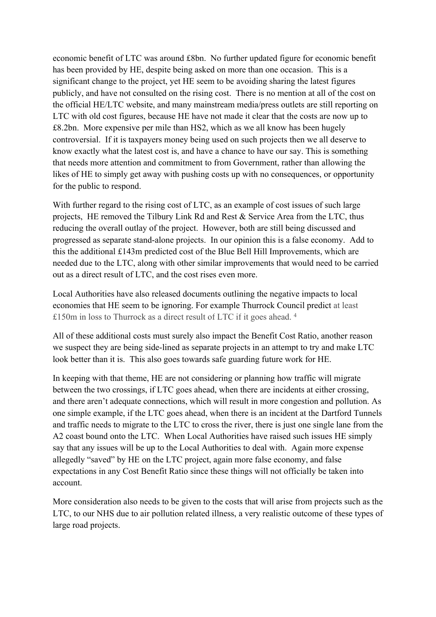economic benefit of LTC was around £8bn. No further updated figure for economic benefit has been provided by HE, despite being asked on more than one occasion. This is a significant change to the project, yet HE seem to be avoiding sharing the latest figures publicly, and have not consulted on the rising cost. There is no mention at all of the cost on the official HE/LTC website, and many mainstream media/press outlets are still reporting on LTC with old cost figures, because HE have not made it clear that the costs are now up to £8.2bn. More expensive per mile than HS2, which as we all know has been hugely controversial. If it is taxpayers money being used on such projects then we all deserve to know exactly what the latest cost is, and have a chance to have our say. This is something that needs more attention and commitment to from Government, rather than allowing the likes of HE to simply get away with pushing costs up with no consequences, or opportunity for the public to respond.

With further regard to the rising cost of LTC, as an example of cost issues of such large projects, HE removed the Tilbury Link Rd and Rest & Service Area from the LTC, thus reducing the overall outlay of the project. However, both are still being discussed and progressed as separate stand-alone projects. In our opinion this is a false economy. Add to this the additional £143m predicted cost of the Blue Bell Hill Improvements, which are needed due to the LTC, along with other similar improvements that would need to be carried out as a direct result of LTC, and the cost rises even more.

Local Authorities have also released documents outlining the negative impacts to local economies that HE seem to be ignoring. For example Thurrock Council predict at least £150m in loss to Thurrock as a direct result of LTC if it goes ahead. <sup>4</sup>

All of these additional costs must surely also impact the Benefit Cost Ratio, another reason we suspect they are being side-lined as separate projects in an attempt to try and make LTC look better than it is. This also goes towards safe guarding future work for HE.

In keeping with that theme, HE are not considering or planning how traffic will migrate between the two crossings, if LTC goes ahead, when there are incidents at either crossing, and there aren't adequate connections, which will result in more congestion and pollution. As one simple example, if the LTC goes ahead, when there is an incident at the Dartford Tunnels and traffic needs to migrate to the LTC to cross the river, there is just one single lane from the A2 coast bound onto the LTC. When Local Authorities have raised such issues HE simply say that any issues will be up to the Local Authorities to deal with. Again more expense allegedly "saved" by HE on the LTC project, again more false economy, and false expectations in any Cost Benefit Ratio since these things will not officially be taken into account.

More consideration also needs to be given to the costs that will arise from projects such as the LTC, to our NHS due to air pollution related illness, a very realistic outcome of these types of large road projects.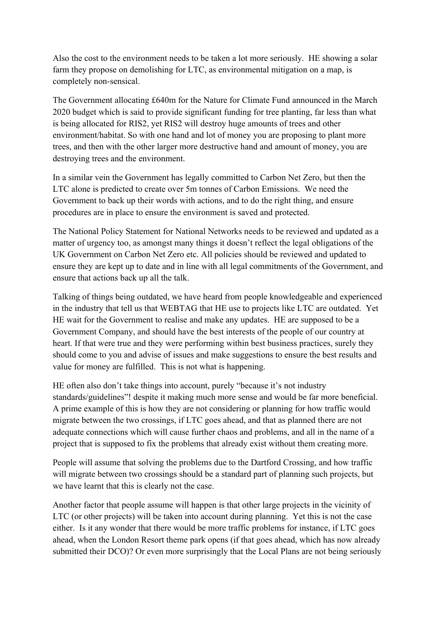Also the cost to the environment needs to be taken a lot more seriously. HE showing a solar farm they propose on demolishing for LTC, as environmental mitigation on a map, is completely non-sensical.

The Government allocating £640m for the Nature for Climate Fund announced in the March 2020 budget which is said to provide significant funding for tree planting, far less than what is being allocated for RIS2, yet RIS2 will destroy huge amounts of trees and other environment/habitat. So with one hand and lot of money you are proposing to plant more trees, and then with the other larger more destructive hand and amount of money, you are destroying trees and the environment.

In a similar vein the Government has legally committed to Carbon Net Zero, but then the LTC alone is predicted to create over 5m tonnes of Carbon Emissions. We need the Government to back up their words with actions, and to do the right thing, and ensure procedures are in place to ensure the environment is saved and protected.

The National Policy Statement for National Networks needs to be reviewed and updated as a matter of urgency too, as amongst many things it doesn't reflect the legal obligations of the UK Government on Carbon Net Zero etc. All policies should be reviewed and updated to ensure they are kept up to date and in line with all legal commitments of the Government, and ensure that actions back up all the talk.

Talking of things being outdated, we have heard from people knowledgeable and experienced in the industry that tell us that WEBTAG that HE use to projects like LTC are outdated. Yet HE wait for the Government to realise and make any updates. HE are supposed to be a Government Company, and should have the best interests of the people of our country at heart. If that were true and they were performing within best business practices, surely they should come to you and advise of issues and make suggestions to ensure the best results and value for money are fulfilled. This is not what is happening.

HE often also don't take things into account, purely "because it's not industry standards/guidelines"! despite it making much more sense and would be far more beneficial. A prime example of this is how they are not considering or planning for how traffic would migrate between the two crossings, if LTC goes ahead, and that as planned there are not adequate connections which will cause further chaos and problems, and all in the name of a project that is supposed to fix the problems that already exist without them creating more.

People will assume that solving the problems due to the Dartford Crossing, and how traffic will migrate between two crossings should be a standard part of planning such projects, but we have learnt that this is clearly not the case.

Another factor that people assume will happen is that other large projects in the vicinity of LTC (or other projects) will be taken into account during planning. Yet this is not the case either. Is it any wonder that there would be more traffic problems for instance, if LTC goes ahead, when the London Resort theme park opens (if that goes ahead, which has now already submitted their DCO)? Or even more surprisingly that the Local Plans are not being seriously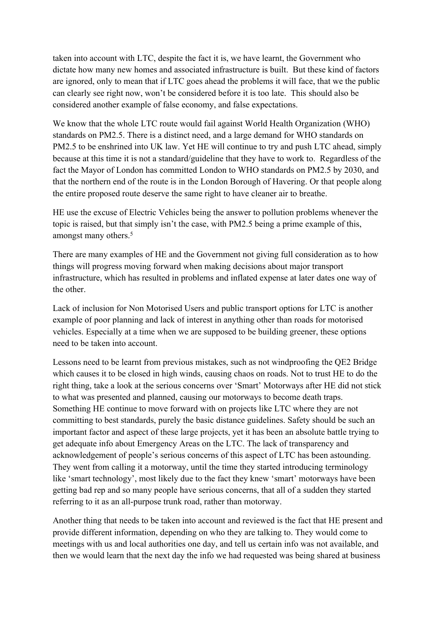taken into account with LTC, despite the fact it is, we have learnt, the Government who dictate how many new homes and associated infrastructure is built. But these kind of factors are ignored, only to mean that if LTC goes ahead the problems it will face, that we the public can clearly see right now, won't be considered before it is too late. This should also be considered another example of false economy, and false expectations.

We know that the whole LTC route would fail against World Health Organization (WHO) standards on PM2.5. There is a distinct need, and a large demand for WHO standards on PM2.5 to be enshrined into UK law. Yet HE will continue to try and push LTC ahead, simply because at this time it is not a standard/guideline that they have to work to. Regardless of the fact the Mayor of London has committed London to WHO standards on PM2.5 by 2030, and that the northern end of the route is in the London Borough of Havering. Or that people along the entire proposed route deserve the same right to have cleaner air to breathe.

HE use the excuse of Electric Vehicles being the answer to pollution problems whenever the topic is raised, but that simply isn't the case, with PM2.5 being a prime example of this, amongst many others.<sup>5</sup>

There are many examples of HE and the Government not giving full consideration as to how things will progress moving forward when making decisions about major transport infrastructure, which has resulted in problems and inflated expense at later dates one way of the other.

Lack of inclusion for Non Motorised Users and public transport options for LTC is another example of poor planning and lack of interest in anything other than roads for motorised vehicles. Especially at a time when we are supposed to be building greener, these options need to be taken into account.

Lessons need to be learnt from previous mistakes, such as not windproofing the QE2 Bridge which causes it to be closed in high winds, causing chaos on roads. Not to trust HE to do the right thing, take a look at the serious concerns over 'Smart' Motorways after HE did not stick to what was presented and planned, causing our motorways to become death traps. Something HE continue to move forward with on projects like LTC where they are not committing to best standards, purely the basic distance guidelines. Safety should be such an important factor and aspect of these large projects, yet it has been an absolute battle trying to get adequate info about Emergency Areas on the LTC. The lack of transparency and acknowledgement of people's serious concerns of this aspect of LTC has been astounding. They went from calling it a motorway, until the time they started introducing terminology like 'smart technology', most likely due to the fact they knew 'smart' motorways have been getting bad rep and so many people have serious concerns, that all of a sudden they started referring to it as an all-purpose trunk road, rather than motorway.

Another thing that needs to be taken into account and reviewed is the fact that HE present and provide different information, depending on who they are talking to. They would come to meetings with us and local authorities one day, and tell us certain info was not available, and then we would learn that the next day the info we had requested was being shared at business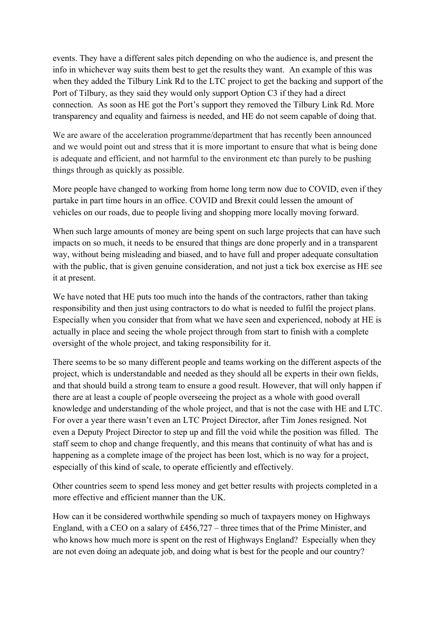events. They have a different sales pitch depending on who the audience is, and present the info in whichever way suits them best to get the results they want. An example of this was when they added the Tilbury Link Rd to the LTC project to get the backing and support of the Port of Tilbury, as they said they would only support Option C3 if they had a direct connection. As soon as HE got the Port's support they removed the Tilbury Link Rd. More transparency and equality and fairness is needed, and HE do not seem capable of doing that.

We are aware of the acceleration programme/department that has recently been announced and we would point out and stress that it is more important to ensure that what is being done is adequate and efficient, and not harmful to the environment etc than purely to be pushing things through as quickly as possible.

More people have changed to working from home long term now due to COVID, even if they partake in part time hours in an office. COVID and Brexit could lessen the amount of vehicles on our roads, due to people living and shopping more locally moving forward.

When such large amounts of money are being spent on such large projects that can have such impacts on so much, it needs to be ensured that things are done properly and in a transparent way, without being misleading and biased, and to have full and proper adequate consultation with the public, that is given genuine consideration, and not just a tick box exercise as HE see it at present.

We have noted that HE puts too much into the hands of the contractors, rather than taking responsibility and then just using contractors to do what is needed to fulfil the project plans. Especially when you consider that from what we have seen and experienced, nobody at HE is actually in place and seeing the whole project through from start to finish with a complete oversight of the whole project, and taking responsibility for it.

There seems to be so many different people and teams working on the different aspects of the project, which is understandable and needed as they should all be experts in their own fields, and that should build a strong team to ensure a good result. However, that will only happen if there are at least a couple of people overseeing the project as a whole with good overall knowledge and understanding of the whole project, and that is not the case with HE and LTC. For over a year there wasn't even an LTC Project Director, after Tim Jones resigned. Not even a Deputy Project Director to step up and fill the void while the position was filled. The staff seem to chop and change frequently, and this means that continuity of what has and is happening as a complete image of the project has been lost, which is no way for a project, especially of this kind of scale, to operate efficiently and effectively.

Other countries seem to spend less money and get better results with projects completed in a more effective and efficient manner than the UK.

How can it be considered worthwhile spending so much of taxpayers money on Highways England, with a CEO on a salary of £456,727 – three times that of the Prime Minister, and who knows how much more is spent on the rest of Highways England? Especially when they are not even doing an adequate job, and doing what is best for the people and our country?